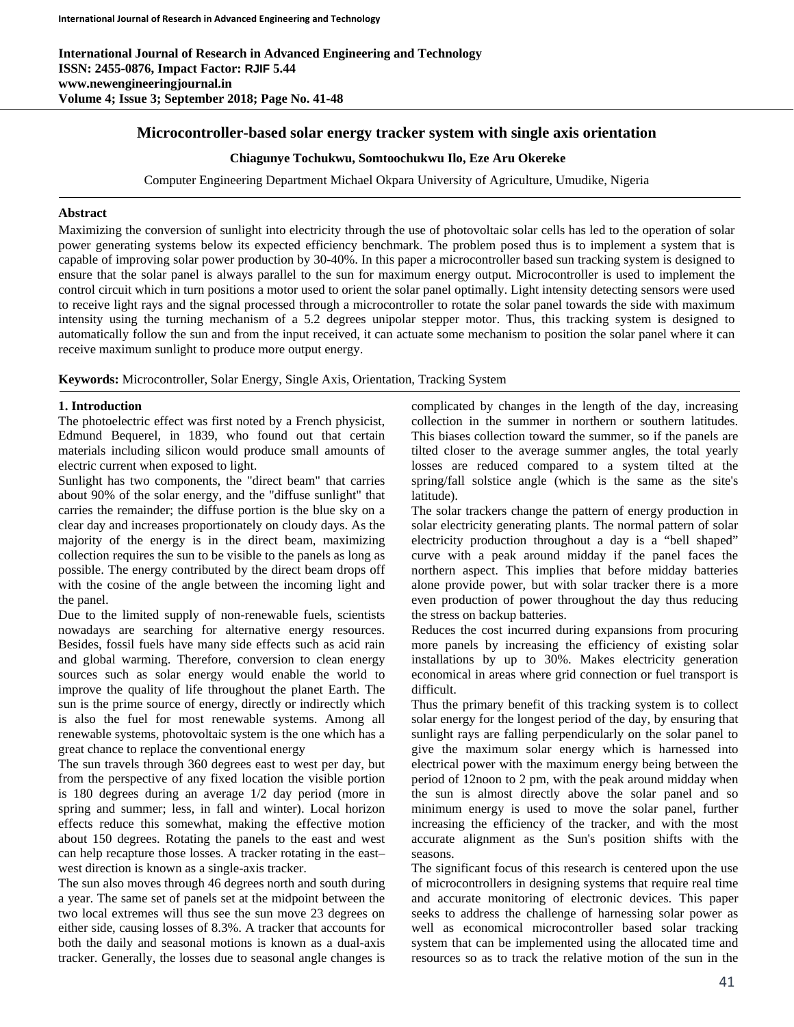# **Microcontroller-based solar energy tracker system with single axis orientation**

## **Chiagunye Tochukwu, Somtoochukwu Ilo, Eze Aru Okereke**

Computer Engineering Department Michael Okpara University of Agriculture, Umudike, Nigeria

# **Abstract**

Maximizing the conversion of sunlight into electricity through the use of photovoltaic solar cells has led to the operation of solar power generating systems below its expected efficiency benchmark. The problem posed thus is to implement a system that is capable of improving solar power production by 30-40%. In this paper a microcontroller based sun tracking system is designed to ensure that the solar panel is always parallel to the sun for maximum energy output. Microcontroller is used to implement the control circuit which in turn positions a motor used to orient the solar panel optimally. Light intensity detecting sensors were used to receive light rays and the signal processed through a microcontroller to rotate the solar panel towards the side with maximum intensity using the turning mechanism of a 5.2 degrees unipolar stepper motor. Thus, this tracking system is designed to automatically follow the sun and from the input received, it can actuate some mechanism to position the solar panel where it can receive maximum sunlight to produce more output energy.

**Keywords:** Microcontroller, Solar Energy, Single Axis, Orientation, Tracking System

# **1. Introduction**

The photoelectric effect was first noted by a French physicist, Edmund Bequerel, in 1839, who found out that certain materials including silicon would produce small amounts of electric current when exposed to light.

Sunlight has two components, the "direct beam" that carries about 90% of the solar energy, and the "diffuse sunlight" that carries the remainder; the diffuse portion is the blue sky on a clear day and increases proportionately on cloudy days. As the majority of the energy is in the direct beam, maximizing collection requires the sun to be visible to the panels as long as possible. The energy contributed by the direct beam drops off with the cosine of the angle between the incoming light and the panel.

Due to the limited supply of non-renewable fuels, scientists nowadays are searching for alternative energy resources. Besides, fossil fuels have many side effects such as acid rain and global warming. Therefore, conversion to clean energy sources such as solar energy would enable the world to improve the quality of life throughout the planet Earth. The sun is the prime source of energy, directly or indirectly which is also the fuel for most renewable systems. Among all renewable systems, photovoltaic system is the one which has a great chance to replace the conventional energy

The sun travels through 360 degrees east to west per day, but from the perspective of any fixed location the visible portion is 180 degrees during an average 1/2 day period (more in spring and summer; less, in fall and winter). Local horizon effects reduce this somewhat, making the effective motion about 150 degrees. Rotating the panels to the east and west can help recapture those losses. A tracker rotating in the east– west direction is known as a single-axis tracker.

The sun also moves through 46 degrees north and south during a year. The same set of panels set at the midpoint between the two local extremes will thus see the sun move 23 degrees on either side, causing losses of 8.3%. A tracker that accounts for both the daily and seasonal motions is known as a dual-axis tracker. Generally, the losses due to seasonal angle changes is

complicated by changes in the length of the day, increasing collection in the summer in northern or southern latitudes. This biases collection toward the summer, so if the panels are tilted closer to the average summer angles, the total yearly losses are reduced compared to a system tilted at the spring/fall solstice angle (which is the same as the site's latitude).

The solar trackers change the pattern of energy production in solar electricity generating plants. The normal pattern of solar electricity production throughout a day is a "bell shaped" curve with a peak around midday if the panel faces the northern aspect. This implies that before midday batteries alone provide power, but with solar tracker there is a more even production of power throughout the day thus reducing the stress on backup batteries.

Reduces the cost incurred during expansions from procuring more panels by increasing the efficiency of existing solar installations by up to 30%. Makes electricity generation economical in areas where grid connection or fuel transport is difficult.

Thus the primary benefit of this tracking system is to collect solar energy for the longest period of the day, by ensuring that sunlight rays are falling perpendicularly on the solar panel to give the maximum solar energy which is harnessed into electrical power with the maximum energy being between the period of 12noon to 2 pm, with the peak around midday when the sun is almost directly above the solar panel and so minimum energy is used to move the solar panel, further increasing the efficiency of the tracker, and with the most accurate alignment as the Sun's position shifts with the seasons.

The significant focus of this research is centered upon the use of microcontrollers in designing systems that require real time and accurate monitoring of electronic devices. This paper seeks to address the challenge of harnessing solar power as well as economical microcontroller based solar tracking system that can be implemented using the allocated time and resources so as to track the relative motion of the sun in the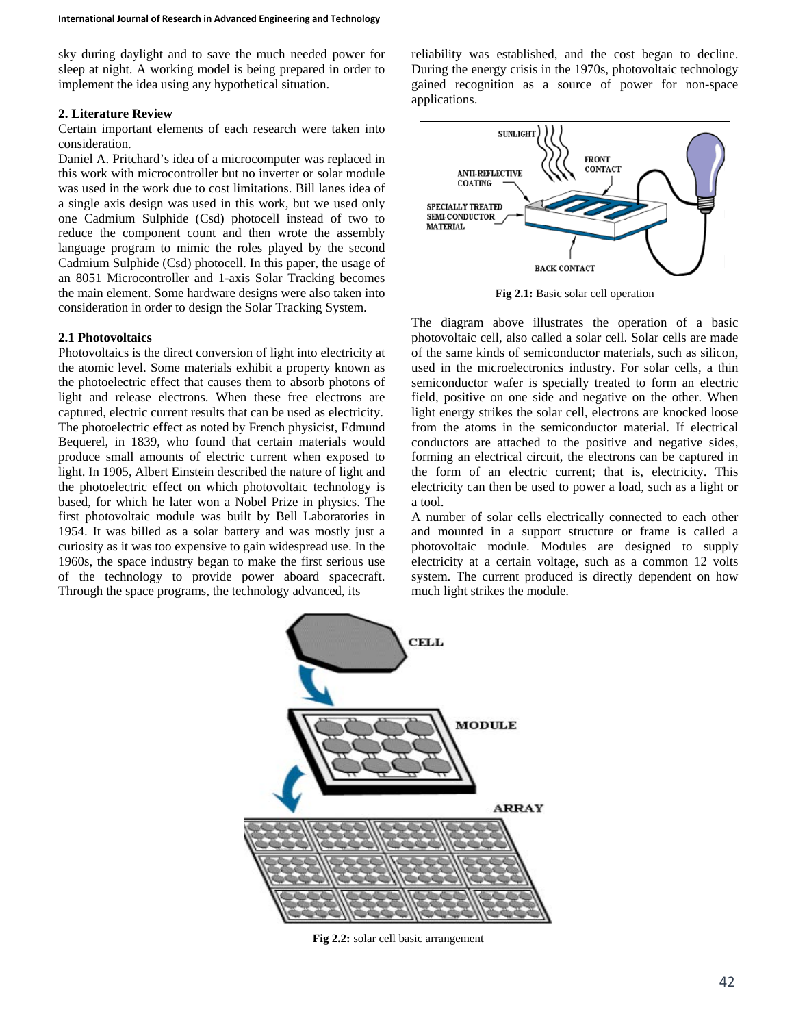sky during daylight and to save the much needed power for sleep at night. A working model is being prepared in order to implement the idea using any hypothetical situation.

### **2. Literature Review**

Certain important elements of each research were taken into consideration.

Daniel A. Pritchard's idea of a microcomputer was replaced in this work with microcontroller but no inverter or solar module was used in the work due to cost limitations. Bill lanes idea of a single axis design was used in this work, but we used only one Cadmium Sulphide (Csd) photocell instead of two to reduce the component count and then wrote the assembly language program to mimic the roles played by the second Cadmium Sulphide (Csd) photocell. In this paper, the usage of an 8051 Microcontroller and 1-axis Solar Tracking becomes the main element. Some hardware designs were also taken into consideration in order to design the Solar Tracking System.

#### **2.1 Photovoltaics**

Photovoltaics is the direct conversion of light into electricity at the atomic level. Some materials exhibit a property known as the photoelectric effect that causes them to absorb photons of light and release electrons. When these free electrons are captured, electric current results that can be used as electricity. The photoelectric effect as noted by French physicist, Edmund Bequerel, in 1839, who found that certain materials would produce small amounts of electric current when exposed to light. In 1905, Albert Einstein described the nature of light and the photoelectric effect on which photovoltaic technology is based, for which he later won a Nobel Prize in physics. The first photovoltaic module was built by Bell Laboratories in 1954. It was billed as a solar battery and was mostly just a curiosity as it was too expensive to gain widespread use. In the 1960s, the space industry began to make the first serious use of the technology to provide power aboard spacecraft. Through the space programs, the technology advanced, its

reliability was established, and the cost began to decline. During the energy crisis in the 1970s, photovoltaic technology gained recognition as a source of power for non-space applications.



**Fig 2.1:** Basic solar cell operation

The diagram above illustrates the operation of a basic photovoltaic cell, also called a solar cell. Solar cells are made of the same kinds of semiconductor materials, such as silicon, used in the microelectronics industry. For solar cells, a thin semiconductor wafer is specially treated to form an electric field, positive on one side and negative on the other. When light energy strikes the solar cell, electrons are knocked loose from the atoms in the semiconductor material. If electrical conductors are attached to the positive and negative sides, forming an electrical circuit, the electrons can be captured in the form of an electric current; that is, electricity. This electricity can then be used to power a load, such as a light or a tool.

A number of solar cells electrically connected to each other and mounted in a support structure or frame is called a photovoltaic module. Modules are designed to supply electricity at a certain voltage, such as a common 12 volts system. The current produced is directly dependent on how much light strikes the module.



**Fig 2.2:** solar cell basic arrangement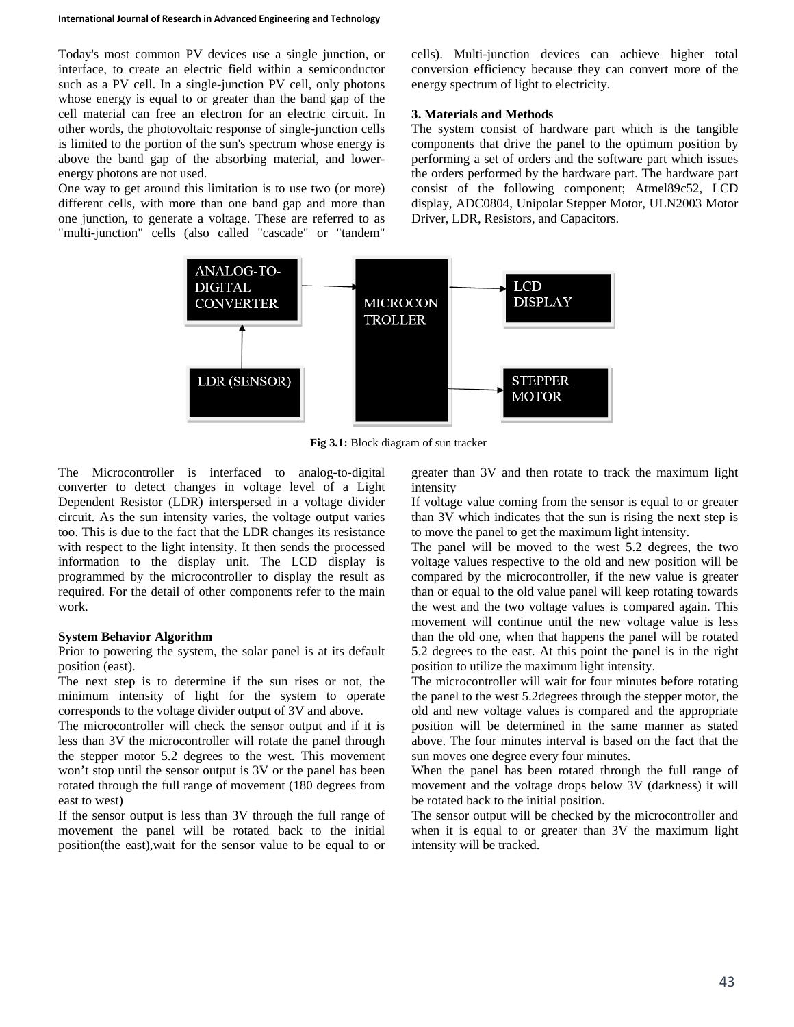Today's most common PV devices use a single junction, or interface, to create an electric field within a semiconductor such as a PV cell. In a single-junction PV cell, only photons whose energy is equal to or greater than the band gap of the cell material can free an electron for an electric circuit. In other words, the photovoltaic response of single-junction cells is limited to the portion of the sun's spectrum whose energy is above the band gap of the absorbing material, and lowerenergy photons are not used.

One way to get around this limitation is to use two (or more) different cells, with more than one band gap and more than one junction, to generate a voltage. These are referred to as "multi-junction" cells (also called "cascade" or "tandem"

cells). Multi-junction devices can achieve higher total conversion efficiency because they can convert more of the energy spectrum of light to electricity.

## **3. Materials and Methods**

The system consist of hardware part which is the tangible components that drive the panel to the optimum position by performing a set of orders and the software part which issues the orders performed by the hardware part. The hardware part consist of the following component; Atmel89c52, LCD display, ADC0804, Unipolar Stepper Motor, ULN2003 Motor Driver, LDR, Resistors, and Capacitors.



**Fig 3.1:** Block diagram of sun tracker

The Microcontroller is interfaced to analog-to-digital converter to detect changes in voltage level of a Light Dependent Resistor (LDR) interspersed in a voltage divider circuit. As the sun intensity varies, the voltage output varies too. This is due to the fact that the LDR changes its resistance with respect to the light intensity. It then sends the processed information to the display unit. The LCD display is programmed by the microcontroller to display the result as required. For the detail of other components refer to the main work.

#### **System Behavior Algorithm**

Prior to powering the system, the solar panel is at its default position (east).

The next step is to determine if the sun rises or not, the minimum intensity of light for the system to operate corresponds to the voltage divider output of 3V and above.

The microcontroller will check the sensor output and if it is less than 3V the microcontroller will rotate the panel through the stepper motor 5.2 degrees to the west. This movement won't stop until the sensor output is 3V or the panel has been rotated through the full range of movement (180 degrees from east to west)

If the sensor output is less than 3V through the full range of movement the panel will be rotated back to the initial position(the east),wait for the sensor value to be equal to or

greater than 3V and then rotate to track the maximum light intensity

If voltage value coming from the sensor is equal to or greater than 3V which indicates that the sun is rising the next step is to move the panel to get the maximum light intensity.

The panel will be moved to the west 5.2 degrees, the two voltage values respective to the old and new position will be compared by the microcontroller, if the new value is greater than or equal to the old value panel will keep rotating towards the west and the two voltage values is compared again. This movement will continue until the new voltage value is less than the old one, when that happens the panel will be rotated 5.2 degrees to the east. At this point the panel is in the right position to utilize the maximum light intensity.

The microcontroller will wait for four minutes before rotating the panel to the west 5.2degrees through the stepper motor, the old and new voltage values is compared and the appropriate position will be determined in the same manner as stated above. The four minutes interval is based on the fact that the sun moves one degree every four minutes.

When the panel has been rotated through the full range of movement and the voltage drops below 3V (darkness) it will be rotated back to the initial position.

The sensor output will be checked by the microcontroller and when it is equal to or greater than 3V the maximum light intensity will be tracked.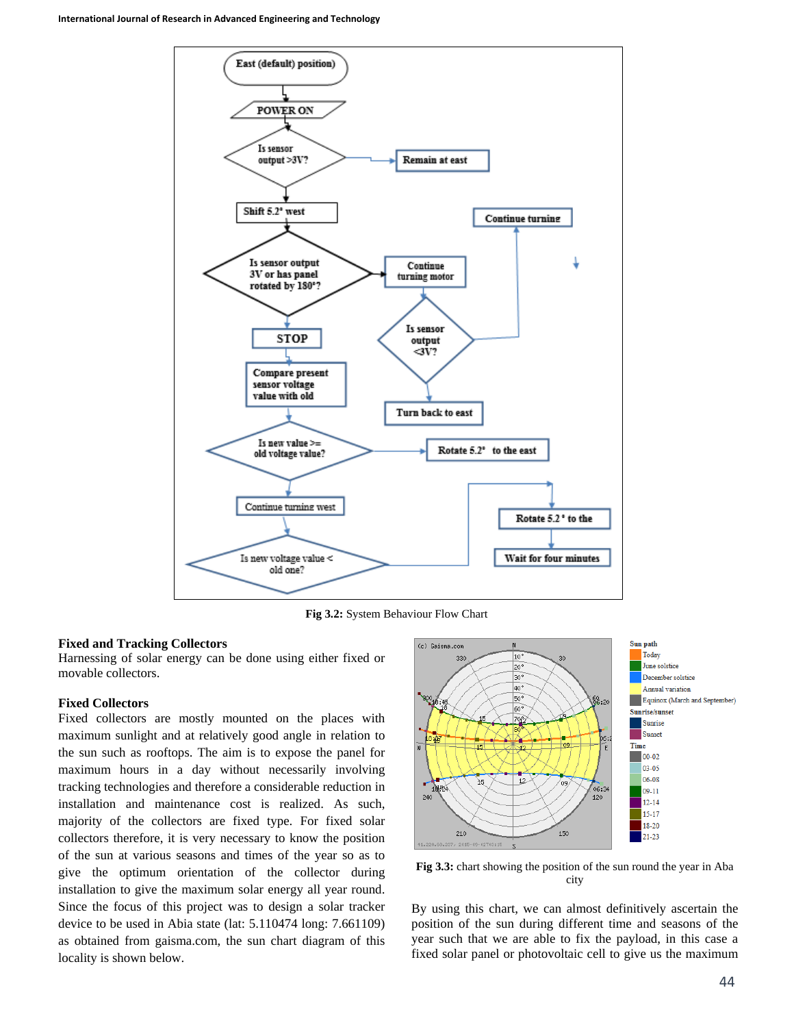

**Fig 3.2:** System Behaviour Flow Chart

### **Fixed and Tracking Collectors**

Harnessing of solar energy can be done using either fixed or movable collectors.

### **Fixed Collectors**

Fixed collectors are mostly mounted on the places with maximum sunlight and at relatively good angle in relation to the sun such as rooftops. The aim is to expose the panel for maximum hours in a day without necessarily involving tracking technologies and therefore a considerable reduction in installation and maintenance cost is realized. As such, majority of the collectors are fixed type. For fixed solar collectors therefore, it is very necessary to know the position of the sun at various seasons and times of the year so as to give the optimum orientation of the collector during installation to give the maximum solar energy all year round. Since the focus of this project was to design a solar tracker device to be used in Abia state (lat: 5.110474 long: 7.661109) as obtained from gaisma.com, the sun chart diagram of this locality is shown below.



**Fig 3.3:** chart showing the position of the sun round the year in Aba city

By using this chart, we can almost definitively ascertain the position of the sun during different time and seasons of the year such that we are able to fix the payload, in this case a fixed solar panel or photovoltaic cell to give us the maximum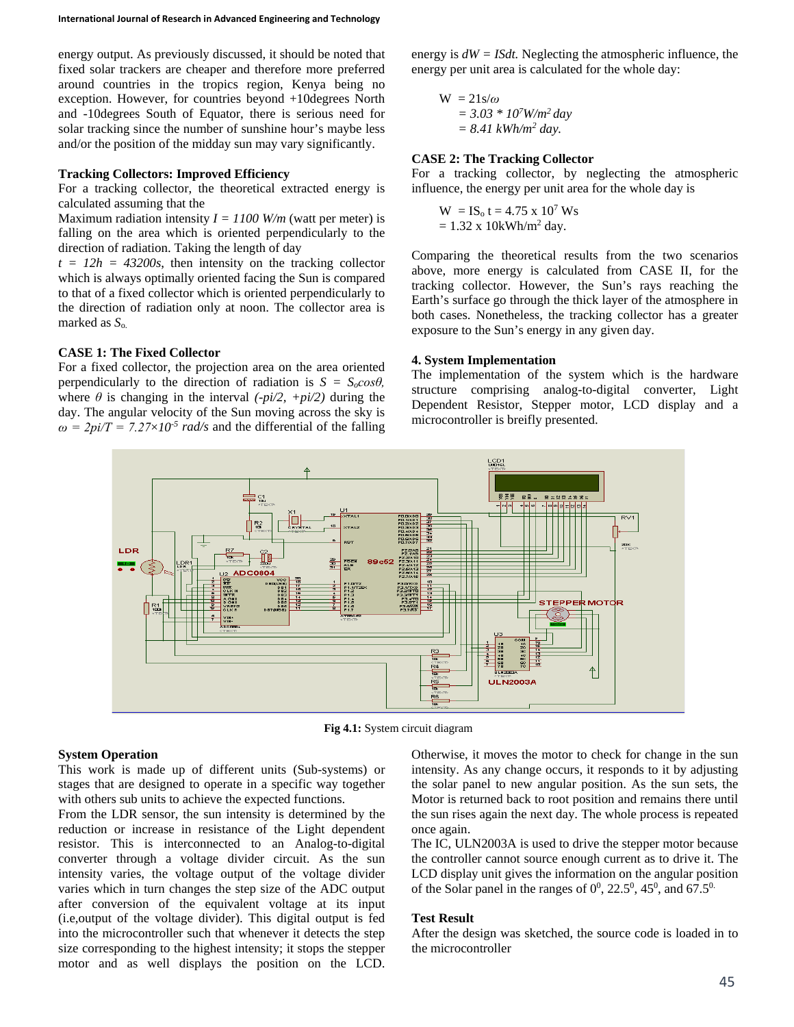energy output. As previously discussed, it should be noted that fixed solar trackers are cheaper and therefore more preferred around countries in the tropics region, Kenya being no exception. However, for countries beyond +10degrees North and -10degrees South of Equator, there is serious need for solar tracking since the number of sunshine hour's maybe less and/or the position of the midday sun may vary significantly.

#### **Tracking Collectors: Improved Efficiency**

For a tracking collector, the theoretical extracted energy is calculated assuming that the

Maximum radiation intensity  $I = 1100$  W/m (watt per meter) is falling on the area which is oriented perpendicularly to the direction of radiation. Taking the length of day

 $t = 12h = 43200s$ , then intensity on the tracking collector which is always optimally oriented facing the Sun is compared to that of a fixed collector which is oriented perpendicularly to the direction of radiation only at noon. The collector area is marked as *S*o.

### **CASE 1: The Fixed Collector**

For a fixed collector, the projection area on the area oriented perpendicularly to the direction of radiation is  $S = S_0 \cos \theta$ , where  $\theta$  is changing in the interval  $(-\rho i/2, +\rho i/2)$  during the day. The angular velocity of the Sun moving across the sky is  $\omega = 2pi/T = 7.27 \times 10^{-5}$  *rad/s* and the differential of the falling

energy is *dW = ISdt.* Neglecting the atmospheric influence, the energy per unit area is calculated for the whole day:

 $W = 21s/\omega$ *= 3.03 \* 107 W/m2 day = 8.41 kWh/m2 day.*

### **CASE 2: The Tracking Collector**

For a tracking collector, by neglecting the atmospheric influence, the energy per unit area for the whole day is

$$
W = IS_0 t = 4.75 x 107 Ws
$$
  
= 1.32 x 10kWh/m<sup>2</sup> day.

Comparing the theoretical results from the two scenarios above, more energy is calculated from CASE II, for the tracking collector. However, the Sun's rays reaching the Earth's surface go through the thick layer of the atmosphere in both cases. Nonetheless, the tracking collector has a greater exposure to the Sun's energy in any given day.

#### **4. System Implementation**

The implementation of the system which is the hardware structure comprising analog-to-digital converter, Light Dependent Resistor, Stepper motor, LCD display and a microcontroller is breifly presented.



**Fig 4.1:** System circuit diagram

#### **System Operation**

This work is made up of different units (Sub-systems) or stages that are designed to operate in a specific way together with others sub units to achieve the expected functions.

From the LDR sensor, the sun intensity is determined by the reduction or increase in resistance of the Light dependent resistor. This is interconnected to an Analog-to-digital converter through a voltage divider circuit. As the sun intensity varies, the voltage output of the voltage divider varies which in turn changes the step size of the ADC output after conversion of the equivalent voltage at its input (i.e,output of the voltage divider). This digital output is fed into the microcontroller such that whenever it detects the step size corresponding to the highest intensity; it stops the stepper motor and as well displays the position on the LCD.

Otherwise, it moves the motor to check for change in the sun intensity. As any change occurs, it responds to it by adjusting the solar panel to new angular position. As the sun sets, the Motor is returned back to root position and remains there until the sun rises again the next day. The whole process is repeated once again.

The IC, ULN2003A is used to drive the stepper motor because the controller cannot source enough current as to drive it. The LCD display unit gives the information on the angular position of the Solar panel in the ranges of  $0^0$ , 22.5<sup>0</sup>, 45<sup>0</sup>, and 67.5<sup>0.</sup>

#### **Test Result**

After the design was sketched, the source code is loaded in to the microcontroller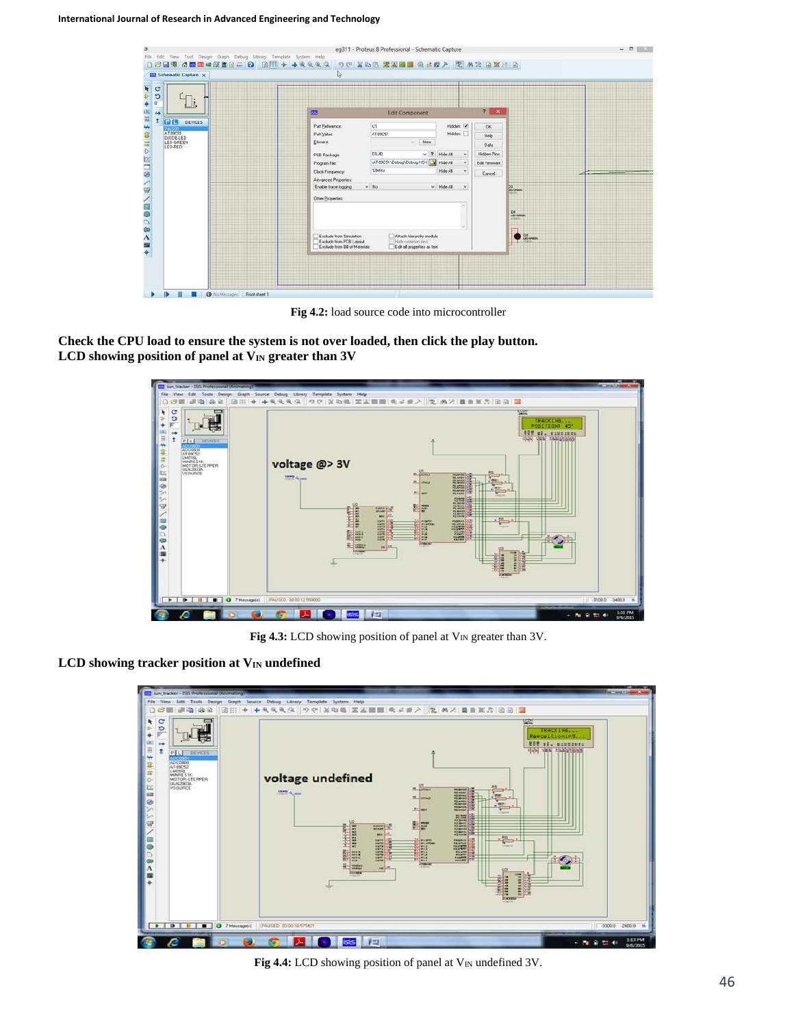| ١ř.                               | 7 x<br><b>E3</b><br><b>Edit Component</b>                                                                                                                          |                           |
|-----------------------------------|--------------------------------------------------------------------------------------------------------------------------------------------------------------------|---------------------------|
| PC<br><b>DEVICES</b><br>AT 09C51  | U1<br>Hidden: V<br>Pat Beference:<br>OK.<br>Hidden:<br>AT09CS1<br>Part Value:                                                                                      |                           |
| DIODE-LED<br>LED GREEN<br>LED-RED | Help.<br>New.<br>Element<br>M.L.<br>Data                                                                                                                           |                           |
|                                   | <b>DIL40</b><br>$\sqrt{7}$ Hide All<br>Hidden Pins<br>$\mathcal{A}$<br>PCB Package:<br>AT89C51\Debug\Debug.HEX                                                     |                           |
|                                   | Hide All<br>Edit Finnware<br>$\checkmark$<br>Program File:<br>12666z<br>Hide All<br>$\checkmark$<br>Clock Frequency<br>Cancel:                                     |                           |
|                                   | Advanced Properties:<br>$~\lor~$ Hide All<br>$~\vee$ No.<br>Enable trace logging<br>$\omega$                                                                       | $\frac{23}{45}$ overs.    |
|                                   | Other Properties:                                                                                                                                                  |                           |
|                                   |                                                                                                                                                                    | D4<br>us-ones<br>Africans |
|                                   | Altach hierarchy module<br>Exclude from Simulation<br>Exclude from PCB Layout<br>Hide common pins<br>Exclude from Bill of Materials<br>Edit all properties as text | DS <sub>oren</sub>        |

**Fig 4.2:** load source code into microcontroller

**Check the CPU load to ensure the system is not over loaded, then click the play button.** LCD showing position of panel at V<sub>IN</sub> greater than 3V



**Fig 4.3:** LCD showing position of panel at V<sub>IN</sub> greater than 3V.

# **LCD** showing tracker position at V<sub>IN</sub> undefined



Fig 4.4: LCD showing position of panel at V<sub>IN</sub> undefined 3V.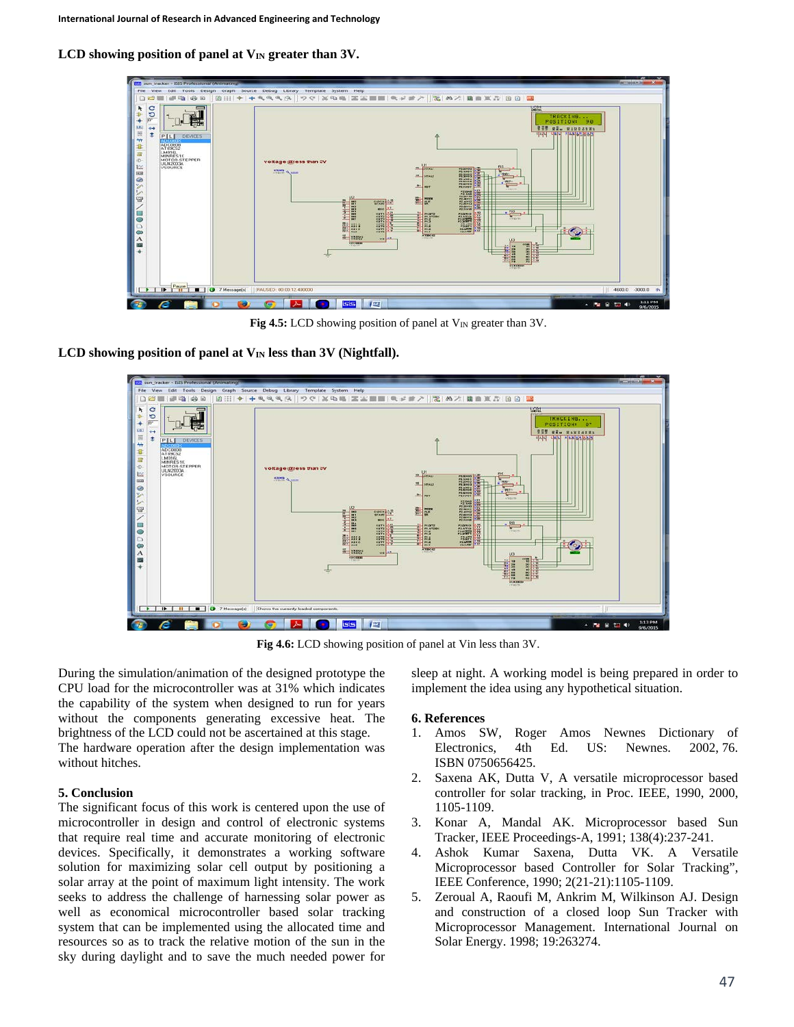LCD showing position of panel at V<sub>IN</sub> greater than 3V.



**Fig 4.5:** LCD showing position of panel at V<sub>IN</sub> greater than 3V.

LCD showing position of panel at  $V_{IN}$  less than  $3V$  (Nightfall).



**Fig 4.6:** LCD showing position of panel at Vin less than 3V.

During the simulation/animation of the designed prototype the CPU load for the microcontroller was at 31% which indicates the capability of the system when designed to run for years without the components generating excessive heat. The brightness of the LCD could not be ascertained at this stage.

The hardware operation after the design implementation was without hitches.

# **5. Conclusion**

The significant focus of this work is centered upon the use of microcontroller in design and control of electronic systems that require real time and accurate monitoring of electronic devices. Specifically, it demonstrates a working software solution for maximizing solar cell output by positioning a solar array at the point of maximum light intensity. The work seeks to address the challenge of harnessing solar power as well as economical microcontroller based solar tracking system that can be implemented using the allocated time and resources so as to track the relative motion of the sun in the sky during daylight and to save the much needed power for

sleep at night. A working model is being prepared in order to implement the idea using any hypothetical situation.

## **6. References**

- 1. Amos SW, Roger Amos Newnes Dictionary of Electronics, 4th Ed. US: Newnes. 2002, 76. ISBN 0750656425.
- 2. Saxena AK, Dutta V, A versatile microprocessor based controller for solar tracking, in Proc. IEEE, 1990, 2000, 1105-1109.
- 3. Konar A, Mandal AK. Microprocessor based Sun Tracker, IEEE Proceedings-A, 1991; 138(4):237-241.
- 4. Ashok Kumar Saxena, Dutta VK. A Versatile Microprocessor based Controller for Solar Tracking", IEEE Conference, 1990; 2(21-21):1105-1109.
- 5. Zeroual A, Raoufi M, Ankrim M, Wilkinson AJ. Design and construction of a closed loop Sun Tracker with Microprocessor Management. International Journal on Solar Energy. 1998; 19:263274.